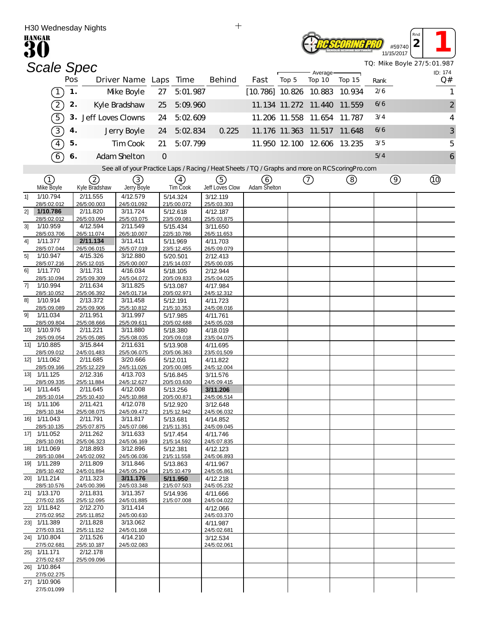|     | H30 Wednesday Nights        |     |                         |                         |    |         |                              | $\mathrm{+}$                                                                                      |                     |       |                          |                             |             |                      |          |                            |
|-----|-----------------------------|-----|-------------------------|-------------------------|----|---------|------------------------------|---------------------------------------------------------------------------------------------------|---------------------|-------|--------------------------|-----------------------------|-------------|----------------------|----------|----------------------------|
|     | <b>HANGAR</b>               |     |                         |                         |    |         |                              |                                                                                                   |                     |       |                          |                             |             | #59740<br>11/15/2017 | Rna<br>2 |                            |
|     | <b>Scale Spec</b>           |     |                         |                         |    |         |                              |                                                                                                   |                     |       |                          |                             |             |                      |          | TQ: Mike Boyle 27/5:01.987 |
|     |                             | Pos |                         | Driver Name Laps Time   |    |         |                              | Behind                                                                                            | Fast                | Top 5 | Average-<br>Top 10       | Top 15                      |             |                      |          | ID: 174<br>Q#              |
|     |                             | 1.  |                         |                         |    |         |                              |                                                                                                   |                     |       |                          |                             | Rank<br>2/6 |                      |          |                            |
|     | $\left(1\right)$            |     |                         | Mke Boyle               | 27 |         | 5:01.987                     |                                                                                                   |                     |       | $[10.786]$ 10.826 10.883 | 10.934                      |             |                      |          |                            |
|     | $\left( 2\right)$           | 2.  |                         | Kyle Bradshaw           | 25 |         | 5:09.960                     |                                                                                                   |                     |       | 11.134 11.272 11.440     | 11.559                      | 6/6         |                      |          | $\overline{\mathbf{c}}$    |
|     | 5)                          |     | 3. Jeff Loves Clowns    |                         | 24 |         | 5:02.609                     |                                                                                                   |                     |       | 11.206 11.558 11.654     | 11.787                      | 3/4         |                      |          | 4                          |
|     | $\boxed{3}$                 | 4.  |                         | Jerry Boyle             | 24 |         | 5:02 834                     | 0.225                                                                                             |                     |       |                          | 11.176 11.363 11.517 11.648 | 6/6         |                      |          | 3                          |
|     | $\sqrt{4}$                  | 5.  |                         | Tim Cook                | 21 |         | 5:07.799                     |                                                                                                   |                     |       |                          | 11.950 12.100 12.606 13.235 | 3/5         |                      |          | 5                          |
|     | 6                           | 6.  |                         | Adam Shelton            |    | $\circ$ |                              |                                                                                                   |                     |       |                          |                             | 5/4         |                      |          | 6                          |
|     |                             |     |                         |                         |    |         |                              | See all of your Practice Laps / Racing / Heat Sheets / TQ / Graphs and more on RCS coring Pro.com |                     |       |                          |                             |             |                      |          |                            |
|     | ①                           |     |                         | 3)                      |    |         |                              |                                                                                                   |                     |       |                          |                             |             |                      |          | $\circledcirc$             |
|     | Mke Boyle                   |     | (2)<br>Kyle Bradshaw    | Jerry Boyle             |    |         | $\left(4\right)$<br>Tim Cook | ⑤<br>Jeff Loves Clow                                                                              | (6)<br>Adam Shelton |       | $\circled{1}$            | (8)                         |             | $\circledcirc$       |          |                            |
| 1   | 1/10.794                    |     | 2/11.555                | 4/12.579                |    |         | 5/14.324                     | 3/12.119                                                                                          |                     |       |                          |                             |             |                      |          |                            |
| 2]  | 28/5:02.012<br>1/10.786     |     | 26/5:00.003<br>2/11.820 | 24/5:01.092<br>3/11.724 |    |         | 21/5:00.072<br>5/12.618      | 25/5:03.303<br>4/12.187                                                                           |                     |       |                          |                             |             |                      |          |                            |
|     | 28/5:02.012                 |     | 26/5:03.094             | 25/5:03.075             |    |         | 23/5:09.081                  | 25/5:03.875                                                                                       |                     |       |                          |                             |             |                      |          |                            |
| 31  | 1/10.959<br>28/5:03.706     |     | 4/12.594<br>26/5:11.074 | 2/11.549<br>26/5:10.007 |    |         | 5/15.434<br>22/5:10.786      | 3/11.650<br>26/5:11.653                                                                           |                     |       |                          |                             |             |                      |          |                            |
| 41  | 1/11.377                    |     | 2/11.134                | 3/11.411                |    |         | 5/11.969                     | 4/11.703                                                                                          |                     |       |                          |                             |             |                      |          |                            |
| 5]  | 28/5:07.044<br>1/10.947     |     | 26/5:06.015<br>4/15.326 | 26/5:07.019<br>3/12.880 |    |         | 23/5:12.455<br>5/20.501      | 26/5:09.079<br>2/12.413                                                                           |                     |       |                          |                             |             |                      |          |                            |
|     | 28/5:07.216                 |     | 25/5:12.015             | 25/5:00.007             |    |         | 21/5:14.037                  | 25/5:00.035                                                                                       |                     |       |                          |                             |             |                      |          |                            |
| 6]  | 1/11.770<br>28/5:10.094     |     | 3/11.731<br>25/5:09.309 | 4/16.034<br>24/5:04.072 |    |         | 5/18.105<br>20/5:09.833      | 2/12.944<br>25/5:04.025                                                                           |                     |       |                          |                             |             |                      |          |                            |
| 7]  | 1/10.994                    |     | 2/11.634                | 3/11.825                |    |         | 5/13.087                     | 4/17.984                                                                                          |                     |       |                          |                             |             |                      |          |                            |
| 8]  | 28/5:10.052<br>1/10.914     |     | 25/5:06.392<br>2/13.372 | 24/5:01.714<br>3/11.458 |    |         | 20/5:02.971<br>5/12.191      | 24/5:12.312<br>4/11.723                                                                           |                     |       |                          |                             |             |                      |          |                            |
|     | 28/5:09.089                 |     | 25/5:09.906             | 25/5:10.812             |    |         | 21/5:10.353                  | 24/5:08.016                                                                                       |                     |       |                          |                             |             |                      |          |                            |
| 91  | 1/11.034<br>28/5:09.804     |     | 2/11.951<br>25/5:08.666 | 3/11.997<br>25/5:09.611 |    |         | 5/17.985<br>20/5:02.688      | 4/11.761<br>24/5:05.028                                                                           |                     |       |                          |                             |             |                      |          |                            |
| 10] | 1/10.976                    |     | 2/11.221                | 3/11.880                |    |         | 5/18.380                     | 4/18.019                                                                                          |                     |       |                          |                             |             |                      |          |                            |
|     | 28/5:09.054<br>11] 1/10.885 |     | 25/5:05.085<br>3/15.844 | 25/5:08.035<br>2/11.631 |    |         | 20/5:09.018<br>5/13.908      | 23/5:04.075<br>4/11.695                                                                           |                     |       |                          |                             |             |                      |          |                            |
|     | 28/5:09.012                 |     | 24/5:01.483             | 25/5:06.075             |    |         | 20/5:06.363                  | 23/5:01.509                                                                                       |                     |       |                          |                             |             |                      |          |                            |
|     | 12] 1/11.062<br>28/5:09.166 |     | 2/11.685<br>25/5:12.229 | 3/20.666<br>24/5:11.026 |    |         | 5/12.011<br>20/5:00.085      | 4/11.822<br>24/5:12.004                                                                           |                     |       |                          |                             |             |                      |          |                            |
|     | 13] 1/11.125                |     | 2/12.316                | 4/13.703                |    |         | 5/16.845                     | 3/11.576                                                                                          |                     |       |                          |                             |             |                      |          |                            |
|     | 28/5:09.335<br>14] 1/11.445 |     | 25/5:11.884<br>2/11.645 | 24/5:12.627<br>4/12.008 |    |         | 20/5:03.630<br>5/13.256      | 24/5:09.415<br>3/11.206                                                                           |                     |       |                          |                             |             |                      |          |                            |
|     | 28/5:10.014                 |     | 25/5:10.410             | 24/5:10.868             |    |         | 20/5:00.871                  | 24/5:06.514                                                                                       |                     |       |                          |                             |             |                      |          |                            |
|     | 15] 1/11.106<br>28/5:10.184 |     | 2/11.421<br>25/5:08.075 | 4/12.078<br>24/5:09.472 |    |         | 5/12.920<br>21/5:12.942      | 3/12.648<br>24/5:06.032                                                                           |                     |       |                          |                             |             |                      |          |                            |
|     | 16] 1/11.043                |     | 2/11.791                | 3/11.817                |    |         | 5/13.681                     | 4/14.852                                                                                          |                     |       |                          |                             |             |                      |          |                            |
|     | 28/5:10.135<br>17] 1/11.052 |     | 25/5:07.875<br>2/11.262 | 24/5:07.086<br>3/11.633 |    |         | 21/5:11.351<br>5/17.454      | 24/5:09.045<br>4/11.746                                                                           |                     |       |                          |                             |             |                      |          |                            |
|     | 28/5:10.091                 |     | 25/5:06.323             | 24/5:06.169             |    |         | 21/5:14.592                  | 24/5:07.835                                                                                       |                     |       |                          |                             |             |                      |          |                            |
|     | 18] 1/11.069<br>28/5:10.084 |     | 2/18.893<br>24/5:02.092 | 3/12.896<br>24/5:06.036 |    |         | 5/12.381<br>21/5:11.558      | 4/12.123<br>24/5:06.893                                                                           |                     |       |                          |                             |             |                      |          |                            |
|     | 19] 1/11.289                |     | 2/11.809                | 3/11.846                |    |         | 5/13.863                     | 4/11.967                                                                                          |                     |       |                          |                             |             |                      |          |                            |
|     | 28/5:10.402<br>20] 1/11.214 |     | 24/5:01.894<br>2/11.323 | 24/5:05.204<br>3/11.176 |    |         | 21/5:10.479<br>5/11.950      | 24/5:05.861<br>4/12.218                                                                           |                     |       |                          |                             |             |                      |          |                            |
|     | 28/5:10.576                 |     | 24/5:00.396             | 24/5:03.348             |    |         | 21/5:07.503                  | 24/5:05.232                                                                                       |                     |       |                          |                             |             |                      |          |                            |
|     | 21] 1/13.170<br>27/5:02.155 |     | 2/11.831<br>25/5:12.095 | 3/11.357<br>24/5:01.885 |    |         | 5/14.936<br>21/5:07.008      | 4/11.666<br>24/5:04.022                                                                           |                     |       |                          |                             |             |                      |          |                            |
|     | 22] 1/11.842                |     | 2/12.270                | 3/11.414                |    |         |                              | 4/12.066                                                                                          |                     |       |                          |                             |             |                      |          |                            |
|     | 27/5:02.952<br>23] 1/11.389 |     | 25/5:11.852<br>2/11.828 | 24/5:00.610<br>3/13.062 |    |         |                              | 24/5:03.370<br>4/11.987                                                                           |                     |       |                          |                             |             |                      |          |                            |
|     | 27/5:03.151                 |     | 25/5:11.152             | 24/5:01.168             |    |         |                              | 24/5:02.681                                                                                       |                     |       |                          |                             |             |                      |          |                            |
|     | 24] 1/10.804<br>27/5:02.681 |     | 2/11.526<br>25/5:10.187 | 4/14.210<br>24/5:02.083 |    |         |                              | 3/12.534<br>24/5:02.061                                                                           |                     |       |                          |                             |             |                      |          |                            |
|     | 25] 1/11.171                |     | 2/12.178                |                         |    |         |                              |                                                                                                   |                     |       |                          |                             |             |                      |          |                            |
|     | 27/5:02.637<br>26] 1/10.864 |     | 25/5:09.096             |                         |    |         |                              |                                                                                                   |                     |       |                          |                             |             |                      |          |                            |
|     | 27/5:02.275                 |     |                         |                         |    |         |                              |                                                                                                   |                     |       |                          |                             |             |                      |          |                            |
|     | 27] 1/10.906<br>27/5:01.099 |     |                         |                         |    |         |                              |                                                                                                   |                     |       |                          |                             |             |                      |          |                            |
|     |                             |     |                         |                         |    |         |                              |                                                                                                   |                     |       |                          |                             |             |                      |          |                            |

 $\pm$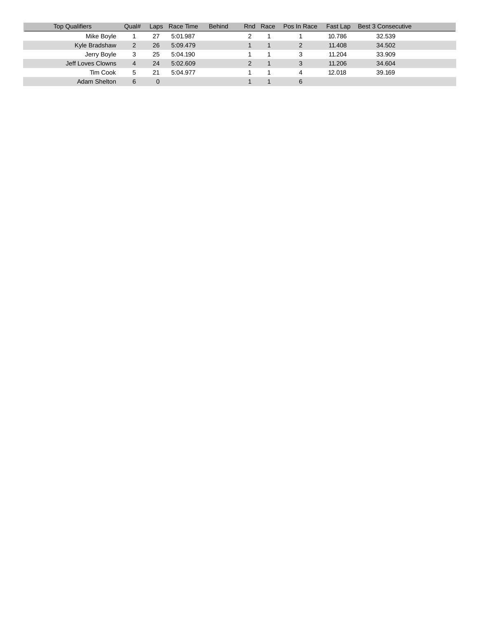| <b>Top Qualifiers</b> | Qual# | Laps | Race Time | <b>Behind</b> | Rnd | Race | Pos In Race | Fast Lap | <b>Best 3 Consecutive</b> |
|-----------------------|-------|------|-----------|---------------|-----|------|-------------|----------|---------------------------|
| Mike Boyle            |       | 27   | 5:01.987  |               |     |      |             | 10.786   | 32.539                    |
| Kyle Bradshaw         |       | 26   | 5:09.479  |               |     |      |             | 11.408   | 34.502                    |
| Jerry Boyle           | 3     | 25   | 5:04.190  |               |     |      |             | 11.204   | 33.909                    |
| Jeff Loves Clowns     | 4     | 24   | 5:02.609  |               |     |      |             | 11.206   | 34.604                    |
| Tim Cook              | 5     | 21   | 5:04.977  |               |     |      |             | 12.018   | 39.169                    |
| Adam Shelton          | 6     |      |           |               |     |      | 6           |          |                           |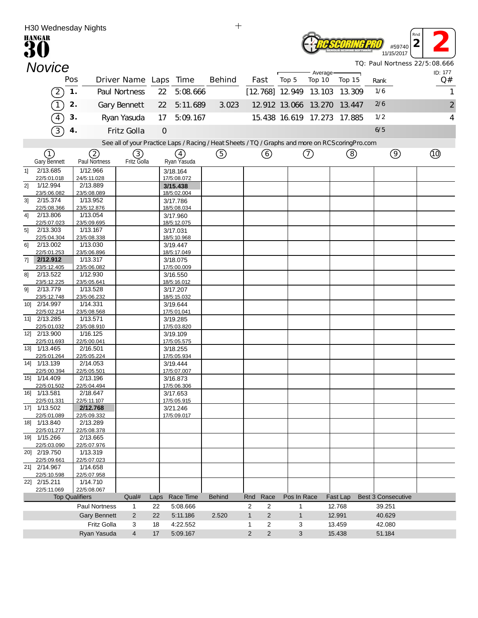|                | H30 Wednesday Nights        |                |                       |                         |                       |               |                         | $\mathrm{+}$                                                                                      |                                  |       |              |                             |          |                           |                               |
|----------------|-----------------------------|----------------|-----------------------|-------------------------|-----------------------|---------------|-------------------------|---------------------------------------------------------------------------------------------------|----------------------------------|-------|--------------|-----------------------------|----------|---------------------------|-------------------------------|
|                | <b>HANGAR</b>               |                |                       |                         |                       |               |                         |                                                                                                   |                                  |       |              |                             |          |                           | Rnd<br>$\overline{2}$         |
|                |                             |                |                       |                         |                       |               |                         |                                                                                                   |                                  |       |              |                             |          | #59740<br>11/15/2017      |                               |
|                | <b>Novice</b>               |                |                       |                         |                       |               |                         |                                                                                                   |                                  |       |              |                             |          |                           | TQ: Paul Nortness 22/5:08.666 |
|                |                             |                |                       |                         |                       |               |                         |                                                                                                   |                                  |       |              | Average-                    |          |                           | ID: 177                       |
|                |                             |                | Pos                   |                         | Driver Name Laps Time |               |                         | Behind                                                                                            | Fast                             | Top 5 |              | Top 10                      | Top 15   | Rank                      | Q#                            |
|                |                             | $2^{7}$        | 1.                    |                         | Paul Nortness         | 22            | 5:08.666                |                                                                                                   |                                  |       |              | $[12.768]$ 12.949 13.103    | 13.309   | 1/6                       |                               |
|                |                             |                | 2.                    |                         | Gary Bennett          | 22            | 5:11.689                | 3.023                                                                                             |                                  |       |              | 12 912 13 066 13 270        | 13.447   | 2/6                       | $\sqrt{2}$                    |
|                |                             | $\overline{4}$ | 3.                    |                         | Ryan Yasuda           | 17            | 5:09.167                |                                                                                                   |                                  |       |              | 15.438 16.619 17.273 17.885 |          | 1/2                       | 4                             |
|                |                             | $\overline{3}$ | 4.                    |                         | Fritz Golla           | $\mathcal{O}$ |                         |                                                                                                   |                                  |       |              |                             |          | 6/5                       |                               |
|                |                             |                |                       |                         |                       |               |                         | See all of your Practice Laps / Racing / Heat Sheets / TQ / Graphs and more on RCS coring Pro.com |                                  |       |              |                             |          |                           |                               |
|                | (1)                         |                |                       | $\left( 2\right)$       | (3)                   |               | (4)                     | (5)                                                                                               | 6                                |       |              | ⑦                           | (8)      | $\circledcirc$            | (10)                          |
|                | <b>Gary Bennett</b>         |                |                       | Paul Nortness           | Fritz Golla           |               | Ryan Yasuda             |                                                                                                   |                                  |       |              |                             |          |                           |                               |
| 1              | 2/13.685                    |                |                       | 1/12.966                |                       |               | 3/18.164                |                                                                                                   |                                  |       |              |                             |          |                           |                               |
| 2]             | 22/5:01.018<br>1/12.994     |                |                       | 24/5:11.028<br>2/13.889 |                       |               | 17/5:08.072<br>3/15.438 |                                                                                                   |                                  |       |              |                             |          |                           |                               |
|                | 23/5:06.082                 |                |                       | 23/5:08.089             |                       |               | 18/5:02.004             |                                                                                                   |                                  |       |              |                             |          |                           |                               |
| 3 <sup>1</sup> | 2/15.374<br>22/5:08.366     |                |                       | 1/13.952<br>23/5:12.876 |                       |               | 3/17.786<br>18/5:08.034 |                                                                                                   |                                  |       |              |                             |          |                           |                               |
| 41             | 2/13.806                    |                |                       | 1/13.054                |                       |               | 3/17.960                |                                                                                                   |                                  |       |              |                             |          |                           |                               |
| 5 <sup>1</sup> | 22/5:07.023<br>2/13.303     |                |                       | 23/5:09.695<br>1/13.167 |                       |               | 18/5:12.075<br>3/17.031 |                                                                                                   |                                  |       |              |                             |          |                           |                               |
|                | 22/5:04.304                 |                |                       | 23/5:08.338             |                       |               | 18/5:10.968             |                                                                                                   |                                  |       |              |                             |          |                           |                               |
| 6]             | 2/13.002<br>22/5:01.253     |                |                       | 1/13.030<br>23/5:06.896 |                       |               | 3/19.447<br>18/5:17.049 |                                                                                                   |                                  |       |              |                             |          |                           |                               |
| 71             | 2/12.912                    |                |                       | 1/13.317                |                       |               | 3/18.075                |                                                                                                   |                                  |       |              |                             |          |                           |                               |
|                | 23/5:12.405                 |                |                       | 23/5:06.082             |                       |               | 17/5:00.009             |                                                                                                   |                                  |       |              |                             |          |                           |                               |
| 81             | 2/13.522<br>23/5:12.225     |                |                       | 1/12.930<br>23/5:05.641 |                       |               | 3/16.550<br>18/5:16.012 |                                                                                                   |                                  |       |              |                             |          |                           |                               |
| 91             | 2/13.779                    |                |                       | 1/13.528                |                       |               | 3/17.207                |                                                                                                   |                                  |       |              |                             |          |                           |                               |
|                | 23/5:12.748<br>10] 2/14.997 |                |                       | 23/5:06.232<br>1/14.331 |                       |               | 18/5:15.032<br>3/19.644 |                                                                                                   |                                  |       |              |                             |          |                           |                               |
|                | 22/5:02.214                 |                |                       | 23/5:08.568             |                       |               | 17/5:01.041             |                                                                                                   |                                  |       |              |                             |          |                           |                               |
|                | 11] 2/13.285<br>22/5:01.032 |                |                       | 1/13.571<br>23/5:08.910 |                       |               | 3/19.285<br>17/5:03.820 |                                                                                                   |                                  |       |              |                             |          |                           |                               |
|                | 12] 2/13.900                |                |                       | 1/16.125                |                       |               | 3/19.109                |                                                                                                   |                                  |       |              |                             |          |                           |                               |
|                | 22/5:01.693<br>13] 1/13.465 |                |                       | 22/5:00.041<br>2/16.501 |                       |               | 17/5:05.575             |                                                                                                   |                                  |       |              |                             |          |                           |                               |
|                | 22/5:01.264                 |                |                       | 22/5:05.224             |                       |               | 3/18.255<br>17/5:05.934 |                                                                                                   |                                  |       |              |                             |          |                           |                               |
| 14]            | 1/13.139                    |                |                       | 2/14.053                |                       |               | 3/19.444                |                                                                                                   |                                  |       |              |                             |          |                           |                               |
|                | 22/5:00.394<br>15] 1/14.409 |                |                       | 22/5:05.501<br>2/13.196 |                       |               | 17/5:07.007<br>3/16.873 |                                                                                                   |                                  |       |              |                             |          |                           |                               |
|                | 22/5:01.502                 |                |                       | 22/5:04.494             |                       |               | 17/5:06.306             |                                                                                                   |                                  |       |              |                             |          |                           |                               |
|                | 16] 1/13.581<br>22/5:01.331 |                |                       | 2/18.647<br>22/5:11.107 |                       |               | 3/17.653<br>17/5:05.915 |                                                                                                   |                                  |       |              |                             |          |                           |                               |
|                | 17] 1/13.502                |                |                       | 2/12.768                |                       |               | 3/21.246                |                                                                                                   |                                  |       |              |                             |          |                           |                               |
|                | 22/5:01.089<br>18] 1/13.840 |                |                       | 22/5:09.332<br>2/13.289 |                       |               | 17/5:09.017             |                                                                                                   |                                  |       |              |                             |          |                           |                               |
|                | 22/5:01.277                 |                |                       | 22/5:08.378             |                       |               |                         |                                                                                                   |                                  |       |              |                             |          |                           |                               |
|                | 19] 1/15.266                |                |                       | 2/13.665                |                       |               |                         |                                                                                                   |                                  |       |              |                             |          |                           |                               |
|                | 22/5:03.090<br>20] 2/19.750 |                |                       | 22/5:07.976<br>1/13.319 |                       |               |                         |                                                                                                   |                                  |       |              |                             |          |                           |                               |
|                | 22/5:09.661                 |                |                       | 22/5:07.023             |                       |               |                         |                                                                                                   |                                  |       |              |                             |          |                           |                               |
|                | 21] 2/14.967<br>22/5:10.598 |                |                       | 1/14.658<br>22/5:07.958 |                       |               |                         |                                                                                                   |                                  |       |              |                             |          |                           |                               |
|                | 22] 2/15.211                |                |                       | 1/14.710                |                       |               |                         |                                                                                                   |                                  |       |              |                             |          |                           |                               |
|                | 22/5:11.069                 |                | <b>Top Qualifiers</b> | 22/5:08.067             | Qual#                 | Laps          | Race Time               | <b>Behind</b>                                                                                     | Race<br>Rnd                      |       | Pos In Race  |                             | Fast Lap | <b>Best 3 Consecutive</b> |                               |
|                |                             |                |                       | <b>Paul Nortness</b>    | $\mathbf{1}$          | 22            | 5:08.666                |                                                                                                   | $\overline{\mathbf{c}}$<br>2     |       | 1            |                             | 12.768   | 39.251                    |                               |
|                |                             |                |                       | <b>Gary Bennett</b>     | 2                     | 22            | 5:11.186                | 2.520                                                                                             | $\mathbf{1}$<br>$\overline{2}$   |       | $\mathbf{1}$ |                             | 12.991   | 40.629                    |                               |
|                |                             |                |                       | <b>Fritz Golla</b>      | 3                     | 18            | 4:22.552                |                                                                                                   | 1<br>2                           |       | 3            |                             | 13.459   | 42.080                    |                               |
|                |                             |                |                       | Ryan Yasuda             | $\overline{4}$        | 17            | 5:09.167                |                                                                                                   | $\overline{2}$<br>$\overline{2}$ |       | 3            |                             | 15.438   | 51.184                    |                               |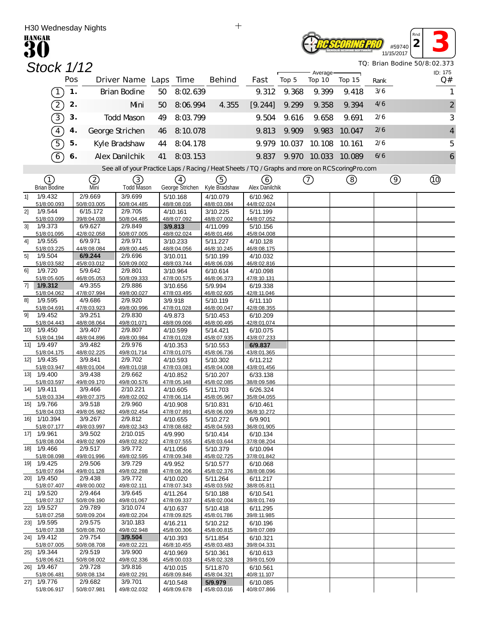|                | H30 Wednesday Nights           |               |    |                        |                         |    |                         | $\mathrm{+}$                                                                                      |                         |              |                     |        |      |                                               |                              |
|----------------|--------------------------------|---------------|----|------------------------|-------------------------|----|-------------------------|---------------------------------------------------------------------------------------------------|-------------------------|--------------|---------------------|--------|------|-----------------------------------------------|------------------------------|
|                | <b>HANGAR</b><br>30            |               |    |                        |                         |    |                         |                                                                                                   |                         |              |                     |        |      | Rnd<br>$\overline{2}$<br>#59740<br>11/15/2017 |                              |
|                | <b>Stock 1/12</b>              |               |    |                        |                         |    |                         |                                                                                                   |                         |              |                     |        |      |                                               | TQ: Brian Bodine 50/8:02.373 |
|                |                                | Pos           |    |                        | Driver Name Laps Time   |    |                         | Behind                                                                                            | Fast                    | Top 5        | Average-<br>Top 10  | Top 15 | Rank |                                               | ID: 175<br>Q#                |
|                | $\boxed{1}$                    | $\mathbf 1$ . |    |                        | Brian Bodine            | 50 | 8:02.639                |                                                                                                   | 9.312                   | 9.368        | 9.399               | 9.418  | 3/6  |                                               | 1                            |
|                | $\left( 2\right)$              | 2.            |    |                        | Mni                     | 50 | 8:06.994                | 4.355                                                                                             | [9.244]                 | 9.299        | 9.358               | 9.394  | 4/6  |                                               | $\overline{2}$               |
|                | $\boxed{3}$                    |               | 3. |                        | <b>Todd Mason</b>       | 49 | 8:03.799                |                                                                                                   | 9.504                   | 9.616        | 9.658               | 9.691  | 2/6  |                                               | 3                            |
|                | $\widehat{4}$                  | 4.            |    |                        | George Strichen         | 46 | 8:10.078                |                                                                                                   | 9.813                   | 9.909        | 9.983               | 10.047 | 2/6  |                                               | $\overline{a}$               |
|                | $\widehat{5}$                  | 5.            |    |                        | Kyle Bradshaw           | 44 | 8:04.178                |                                                                                                   |                         | 9.979 10.037 | 10.108              | 10.161 | 2/6  |                                               | 5                            |
|                | $\widehat{6}$                  | 6.            |    |                        | Alex Danilchik          | 41 | 8:03.153                |                                                                                                   | 9.837                   |              | 9.970 10.033 10.089 |        | 6/6  |                                               | 6                            |
|                |                                |               |    |                        |                         |    |                         | See all of your Practice Laps / Racing / Heat Sheets / TQ / Graphs and more on RCS coring Pro.com |                         |              |                     |        |      |                                               |                              |
|                | (1)                            |               |    | ②                      | ③                       |    | (4)                     | (5)                                                                                               | (6)                     |              | ⊙                   | (8)    |      | $\circledcirc$                                | $^{\circledR}$               |
|                | <b>Brian Bodine</b><br>1/9.432 |               |    | Mni                    | Todd Mason<br>3/9.699   |    | George Strichen         | Kyle Bradshaw                                                                                     | Alex Danilchik          |              |                     |        |      |                                               |                              |
| 1              | 51/8:00.093                    |               |    | 2/9.669<br>50/8:03.005 | 50/8:04.485             |    | 5/10.168<br>48/8:08.016 | 4/10.079<br>48/8:03.084                                                                           | 6/10.962<br>44/8:02.024 |              |                     |        |      |                                               |                              |
| 21             | 1/9.544                        |               |    | 6/15.172               | 2/9.705                 |    | 4/10.161                | 3/10.225                                                                                          | 5/11.199                |              |                     |        |      |                                               |                              |
|                | 51/8:03.099                    |               |    | 39/8:04.038            | 50/8:04.485             |    | 48/8:07.092             | 48/8:07.002                                                                                       | 44/8:07.052             |              |                     |        |      |                                               |                              |
| 3 <sup>1</sup> | 1/9.373<br>51/8:01.095         |               |    | 6/9.627<br>42/8:02.058 | 2/9.849<br>50/8:07.005  |    | 3/9.813<br>48/8:02.024  | 4/11.099<br>46/8:01.466                                                                           | 5/10.156<br>45/8:04.008 |              |                     |        |      |                                               |                              |
| 41             | 1/9.555                        |               |    | 6/9.971                | 2/9.971                 |    | 3/10.233                | 5/11.227                                                                                          | 4/10.128                |              |                     |        |      |                                               |                              |
|                | 51/8:03.225                    |               |    | 44/8:08.084            | 49/8:00.445             |    | 48/8:04.056             | 46/8:10.245                                                                                       | 46/8:08.175             |              |                     |        |      |                                               |                              |
| 5]             | 1/9.504<br>51/8:03.582         |               |    | 6/9.244<br>45/8:03.012 | 2/9.696<br>50/8:09.002  |    | 3/10.011<br>48/8:03.744 | 5/10.199<br>46/8:06.036                                                                           | 4/10.032<br>46/8:02.816 |              |                     |        |      |                                               |                              |
| 61             | 1/9.720                        |               |    | 5/9.642                | 2/9.801                 |    | 3/10.964                | 6/10.614                                                                                          | 4/10.098                |              |                     |        |      |                                               |                              |
|                | 51/8:05.605                    |               |    | 46/8:05.053            | 50/8:09.333             |    | 47/8:00.575             | 46/8:06.373                                                                                       | 47/8:10.131             |              |                     |        |      |                                               |                              |
| 71             | 1/9.312<br>51/8:04.062         |               |    | 4/9.355<br>47/8:07.994 | 2/9.886<br>49/8:00.027  |    | 3/10.656<br>47/8:03.495 | 5/9.994<br>46/8:02.605                                                                            | 6/19.338<br>42/8:11.046 |              |                     |        |      |                                               |                              |
| 81             | 1/9.595                        |               |    | 4/9.686                | 2/9.920                 |    | 3/9.918                 | 5/10.119                                                                                          | 6/11.110                |              |                     |        |      |                                               |                              |
|                | 51/8:04.691                    |               |    | 47/8:03.923            | 49/8:00.996             |    | 47/8:01.028             | 46/8:00.047                                                                                       | 42/8:08.355             |              |                     |        |      |                                               |                              |
| 91             | 1/9.452<br>51/8:04.443         |               |    | 3/9.251<br>48/8:08.064 | 2/9.830<br>49/8:01.071  |    | 4/9.873<br>48/8:09.006  | 5/10.453<br>46/8:00.495                                                                           | 6/10.209<br>42/8:01.074 |              |                     |        |      |                                               |                              |
| 10             | 1/9.450                        |               |    | 3/9.407                | 2/9.807                 |    | 4/10.599                | 5/14.421                                                                                          | 6/10.075                |              |                     |        |      |                                               |                              |
|                | 51/8:04.194                    |               |    | 48/8:04.896            | 49/8:00.984             |    | 47/8:01.028             | 45/8:07.935                                                                                       | 43/8:07.233             |              |                     |        |      |                                               |                              |
| 11]            | 1/9.497<br>51/8:04.175         |               |    | 3/9.482<br>48/8:02.225 | 2/9.976<br>49/8:01.714  |    | 4/10.353<br>47/8:01.075 | 5/10.553<br>45/8:06.736                                                                           | 6/9.837<br>43/8:01.365  |              |                     |        |      |                                               |                              |
|                | 12] 1/9.435                    |               |    | 3/9.841                | 2/9.702                 |    | 4/10.593                | 5/10.302                                                                                          | 6/11.212                |              |                     |        |      |                                               |                              |
|                | 51/8:03.947                    |               |    | 48/8:01.004            | 49/8:01.018             |    | 47/8:03.081             | 45/8:04.008                                                                                       | 43/8:01.456             |              |                     |        |      |                                               |                              |
|                | 13] 1/9.400<br>51/8:03.597     |               |    | 3/9.438<br>49/8:09.170 | 2/9.662<br>49/8:00.576  |    | 4/10.852<br>47/8:05.148 | 5/10.207<br>45/8:02.085                                                                           | 6/33.138<br>38/8:09.586 |              |                     |        |      |                                               |                              |
|                | 14] 1/9.411                    |               |    | 3/9.466                | 2/10.221                |    | 4/10.605                | 5/11.703                                                                                          | 6/26.324                |              |                     |        |      |                                               |                              |
|                | 51/8:03.334                    |               |    | 49/8:07.375            | 49/8:02.002             |    | 47/8:06.114             | 45/8:05.967                                                                                       | 35/8:04.055             |              |                     |        |      |                                               |                              |
|                | 15] 1/9.766<br>51/8:04.033     |               |    | 3/9.518<br>49/8:05.982 | 2/9.960<br>49/8:02.454  |    | 4/10.908<br>47/8:07.891 | 5/10.831<br>45/8:06.009                                                                           | 6/10.461<br>36/8:10.272 |              |                     |        |      |                                               |                              |
|                | 16] 1/10.394                   |               |    | 3/9.267                | 2/9.812                 |    | 4/10.655                | 5/10.272                                                                                          | 6/9.901                 |              |                     |        |      |                                               |                              |
|                | 51/8:07.177                    |               |    | 49/8:03.997            | 49/8:02.343             |    | 47/8:08.682             | 45/8:04.593                                                                                       | 36/8:01.905             |              |                     |        |      |                                               |                              |
|                | 17] 1/9.961<br>51/8:08.004     |               |    | 3/9.502<br>49/8:02.909 | 2/10.015<br>49/8:02.822 |    | 4/9.990<br>47/8:07.555  | 5/10.414<br>45/8:03.644                                                                           | 6/10.134<br>37/8:08.204 |              |                     |        |      |                                               |                              |
|                | 18] 1/9.466                    |               |    | 2/9.517                | 3/9.772                 |    | 4/11.056                | 5/10.379                                                                                          | 6/10.094                |              |                     |        |      |                                               |                              |
|                | 51/8:08.098                    |               |    | 49/8:01.996            | 49/8:02.595             |    | 47/8:09.348             | 45/8:02.725                                                                                       | 37/8:01.842             |              |                     |        |      |                                               |                              |
|                | 19] 1/9.425<br>51/8:07.694     |               |    | 2/9.506<br>49/8:01.128 | 3/9.729<br>49/8:02.288  |    | 4/9.952<br>47/8:08.206  | 5/10.577<br>45/8:02.376                                                                           | 6/10.068<br>38/8:08.096 |              |                     |        |      |                                               |                              |
|                | 20] 1/9.450                    |               |    | 2/9.438                | 3/9.772                 |    | 4/10.020                | 5/11.264                                                                                          | 6/11.217                |              |                     |        |      |                                               |                              |
|                | 51/8:07.407                    |               |    | 49/8:00.002            | 49/8:02.111             |    | 47/8:07.343             | 45/8:03.592                                                                                       | 38/8:05.811             |              |                     |        |      |                                               |                              |
|                | 21] 1/9.520<br>51/8:07.317     |               |    | 2/9.464<br>50/8:09.190 | 3/9.645<br>49/8:01.067  |    | 4/11.264<br>47/8:09.337 | 5/10.188<br>45/8:02.004                                                                           | 6/10.541<br>38/8:01.749 |              |                     |        |      |                                               |                              |
|                | 22] 1/9.527                    |               |    | 2/9.789                | 3/10.074                |    | 4/10.637                | 5/10.418                                                                                          | 6/11.295                |              |                     |        |      |                                               |                              |
|                | 51/8:07.258                    |               |    | 50/8:09.204            | 49/8:02.204             |    | 47/8:09.825             | 45/8:01.786                                                                                       | 39/8:11.985             |              |                     |        |      |                                               |                              |
|                | 23] 1/9.595<br>51/8:07.338     |               |    | 2/9.575<br>50/8:08.760 | 3/10.183<br>49/8:02.948 |    | 4/16.211<br>45/8:00.306 | 5/10.212<br>45/8:00.815                                                                           | 6/10.196<br>39/8:07.089 |              |                     |        |      |                                               |                              |
|                | 24] 1/9.412                    |               |    | 2/9.754                | 3/9.504                 |    | 4/10.393                | 5/11.854                                                                                          | 6/10.321                |              |                     |        |      |                                               |                              |
|                | 51/8:07.005                    |               |    | 50/8:08.708            | 49/8:02.221             |    | 46/8:10.455             | 45/8:03.483                                                                                       | 39/8:04.331             |              |                     |        |      |                                               |                              |
|                | 25] 1/9.344<br>51/8:06.621     |               |    | 2/9.519<br>50/8:08.002 | 3/9.900<br>49/8:02.336  |    | 4/10.969<br>45/8:00.033 | 5/10.361<br>45/8:02.328                                                                           | 6/10.613<br>39/8:01.509 |              |                     |        |      |                                               |                              |
|                | 26] 1/9.467                    |               |    | 2/9.728                | 3/9.816                 |    | 4/10.015                | 5/11.870                                                                                          | 6/10.561                |              |                     |        |      |                                               |                              |
|                | 51/8:06.481                    |               |    | 50/8:08.134            | 49/8:02.291             |    | 46/8:09.846             | 45/8:04.321                                                                                       | 40/8:11.107             |              |                     |        |      |                                               |                              |
|                | 27] 1/9.776<br>51/8:06.917     |               |    | 2/9.682<br>50/8:07.981 | 3/9.701<br>49/8:02.032  |    | 4/10.548<br>46/8:09.678 | 5/9.979<br>45/8:03.016                                                                            | 6/10.085<br>40/8:07.866 |              |                     |        |      |                                               |                              |
|                |                                |               |    |                        |                         |    |                         |                                                                                                   |                         |              |                     |        |      |                                               |                              |

 $\qquad \qquad +$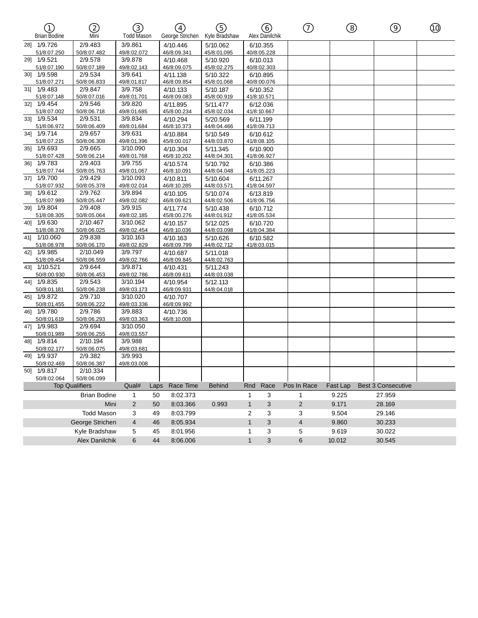|     | (T<br><b>Brian Bodine</b>  | 2<br>Mni               | ③<br><b>Todd Mason</b> |      | A)<br>George Strichen   | G)<br>Kyle Bradshaw     |              | (6)<br>Alex Danilchik   | ⊙              | ⑧        | $\circledcirc$            | ⑩ |
|-----|----------------------------|------------------------|------------------------|------|-------------------------|-------------------------|--------------|-------------------------|----------------|----------|---------------------------|---|
|     | 281 1/9.726                | 2/9.483                | 3/9.861                |      | 4/10.446                | 5/10.062                |              | 6/10.355                |                |          |                           |   |
|     | 51/8:07.250                | 50/8:07.482            | 49/8:02.072            |      | 46/8:09.341             | 45/8:01.095             |              | 40/8:05.228             |                |          |                           |   |
|     | 29] 1/9.521                | 2/9.578                | 3/9.878                |      | 4/10.468                | 5/10.920                |              | 6/10.013                |                |          |                           |   |
|     | 51/8:07.190                | 50/8:07.189            | 49/8:02.143            |      | 46/8:09.075             | 45/8:02.275             |              | 40/8:02.303             |                |          |                           |   |
|     | 30] 1/9.598                | 2/9.534                | 3/9.641                |      | 4/11.138                | 5/10.322                |              | 6/10.895                |                |          |                           |   |
|     | 51/8:07.271                | 50/8:06.833            | 49/8:01.817            |      | 46/8:09.854             | 45/8:01.068             |              | 40/8:00.076             |                |          |                           |   |
|     | 31] 1/9.483                | 2/9.847                | 3/9.758                |      | 4/10.133                | 5/10.187                |              | 6/10.352                |                |          |                           |   |
|     | 51/8:07.148                | 50/8:07.016            | 49/8:01.701            |      | 46/8:09.083             | 45/8:00.919             |              | 41/8:10.571             |                |          |                           |   |
|     | 32] 1/9.454                | 2/9.546                | 3/9.820                |      | 4/11.895                | 5/11.477                |              | 6/12.036                |                |          |                           |   |
|     | 51/8:07.002                | 50/8:06.718            | 49/8:01.685            |      | 45/8:00.234             | 45/8:02.034             |              | 41/8:10.667             |                |          |                           |   |
|     | 33] 1/9.534                | 2/9.531                | 3/9.834                |      | 4/10.294                | 5/20.569                |              | 6/11.199                |                |          |                           |   |
|     | 51/8:06.972                | 50/8:06.409            | 49/8:01.684            |      | 46/8:10.373             | 44/8:04.466             |              | 41/8:09.713             |                |          |                           |   |
|     | 34] 1/9.714                | 2/9.657                | 3/9.631                |      | 4/10.884                | 5/10.549                |              | 6/10.612                |                |          |                           |   |
|     | 51/8:07.215                | 50/8:06.308            | 49/8:01.396            |      | 45/8:00.017             | 44/8:03.870             |              | 41/8:08.105             |                |          |                           |   |
|     | 35] 1/9.693                | 2/9.665                | 3/10.090               |      | 4/10.304                | 5/11.345                |              | 6/10.900                |                |          |                           |   |
|     | 51/8:07.428                | 50/8:06.214            | 49/8:01.768            |      | 46/8:10.202             | 44/8:04.301             |              | 41/8:06.927             |                |          |                           |   |
|     | 36] 1/9.783                | 2/9.403                | 3/9.755                |      | 4/10.574                | 5/10.792                |              | 6/10.386                |                |          |                           |   |
|     | 51/8:07.744<br>37] 1/9.700 | 50/8:05.763            | 49/8:01.067            |      | 46/8:10.091             | 44/8:04.048             |              | 41/8:05.223             |                |          |                           |   |
|     |                            | 2/9.429                | 3/10.093               |      | 4/10.811                | 5/10.604                |              | 6/11.267                |                |          |                           |   |
|     | 51/8:07.932<br>38] 1/9.612 | 50/8:05.378<br>2/9.762 | 49/8:02.014<br>3/9.894 |      | 46/8:10.285<br>4/10.105 | 44/8:03.571             |              | 41/8:04.597<br>6/13.819 |                |          |                           |   |
|     | 51/8:07.989                | 50/8:05.447            | 49/8:02.082            |      | 46/8:09.621             | 5/10.074<br>44/8:02.506 |              | 41/8:06.756             |                |          |                           |   |
|     | 39] 1/9.804                | 2/9.408                | 3/9.915                |      | 4/11.774                | 5/10.438                |              | 6/10.712                |                |          |                           |   |
|     | 51/8:08.305                | 50/8:05.064            | 49/8:02.185            |      | 45/8:00.276             | 44/8:01.912             |              | 41/8:05.534             |                |          |                           |   |
|     | 40] 1/9.630                | 2/10.467               | 3/10.062               |      | 4/10.157                | 5/12.025                |              | 6/10.720                |                |          |                           |   |
|     | 51/8:08.376                | 50/8:06.025            | 49/8:02.454            |      | 46/8:10.036             | 44/8:03.098             |              | 41/8:04.384             |                |          |                           |   |
|     | 41] 1/10.060               | 2/9.838                | 3/10.163               |      | 4/10.163                | 5/10.626                |              | 6/10.582                |                |          |                           |   |
|     | 51/8:08.978                | 50/8:06.170            | 49/8:02.829            |      | 46/8:09.799             | 44/8:02.712             |              | 41/8:03.015             |                |          |                           |   |
|     | 42] 1/9.985                | 2/10.049               | 3/9.797                |      | 4/10.687                | 5/11.018                |              |                         |                |          |                           |   |
|     | 51/8:09.454                | 50/8:06.559            | 49/8:02.766            |      | 46/8:09.845             | 44/8:02.763             |              |                         |                |          |                           |   |
|     | 43] 1/10.521               | 2/9.644                | 3/9.871                |      | 4/10.431                | 5/11.243                |              |                         |                |          |                           |   |
|     | 50/8:00.930                | 50/8:06.453            | 49/8:02.786            |      | 46/8:09.611             | 44/8:03.038             |              |                         |                |          |                           |   |
|     | 44] 1/9.835                | 2/9.543                | 3/10.194               |      | 4/10.954                | 5/12.113                |              |                         |                |          |                           |   |
|     | 50/8:01.181                | 50/8:06.238            | 49/8:03.173            |      | 46/8:09.931             | 44/8:04.018             |              |                         |                |          |                           |   |
| 45] | 1/9.872                    | 2/9.710                | 3/10.020               |      | 4/10.707                |                         |              |                         |                |          |                           |   |
|     | 50/8:01.455                | 50/8:06.222            | 49/8:03.336            |      | 46/8:09.992             |                         |              |                         |                |          |                           |   |
|     | 46] 1/9.780                | 2/9.786                | 3/9.883                |      | 4/10.736                |                         |              |                         |                |          |                           |   |
|     | 50/8:01.619                | 50/8:06.293            | 49/8:03.363            |      | 46/8:10.008             |                         |              |                         |                |          |                           |   |
|     | 47] 1/9.983                | 2/9.694                | 3/10.050               |      |                         |                         |              |                         |                |          |                           |   |
|     | 50/8:01.989                | 50/8:06.255            | 49/8:03.557            |      |                         |                         |              |                         |                |          |                           |   |
|     | 48] 1/9.814                | 2/10.194               | 3/9.988                |      |                         |                         |              |                         |                |          |                           |   |
|     | 50/8:02.177                | 50/8:06.075<br>2/9.382 | 49/8:03.681<br>3/9.993 |      |                         |                         |              |                         |                |          |                           |   |
|     | 49] 1/9.937<br>50/8:02.469 | 50/8:06.387            | 49/8:03.008            |      |                         |                         |              |                         |                |          |                           |   |
|     | 50] 1/9.817                | 2/10.334               |                        |      |                         |                         |              |                         |                |          |                           |   |
|     | 50/8:02.064                | 50/8:06.099            |                        |      |                         |                         |              |                         |                |          |                           |   |
|     |                            | <b>Top Qualifiers</b>  | Qual#                  | Laps | Race Time               | <b>Behind</b>           | Rnd          | Race                    | Pos In Race    | Fast Lap | <b>Best 3 Consecutive</b> |   |
|     |                            | <b>Brian Bodine</b>    |                        |      |                         |                         |              |                         |                |          |                           |   |
|     |                            |                        | $\mathbf{1}$           | 50   | 8:02.373                |                         | $\mathbf{1}$ | 3                       | $\mathbf{1}$   | 9.225    | 27.959                    |   |
|     |                            | Mini                   | $\overline{2}$         | 50   | 8:03.366                | 0.993                   | $\mathbf{1}$ | 3                       | $\overline{2}$ | 9.171    | 28.169                    |   |
|     |                            | <b>Todd Mason</b>      | 3                      | 49   | 8:03.799                |                         | 2            | 3                       | 3              | 9.504    | 29.146                    |   |
|     |                            | George Strichen        | $\overline{4}$         | 46   | 8:05.934                |                         | $\mathbf{1}$ | 3                       | 4              | 9.860    | 30.233                    |   |
|     |                            | Kyle Bradshaw          | 5                      | 45   | 8:01.956                |                         | 1            | 3                       | 5              | 9.619    | 30.022                    |   |
|     |                            | Alex Danilchik         | 6                      | 44   | 8:06.006                |                         | 1            | 3                       | 6              | 10.012   | 30.545                    |   |
|     |                            |                        |                        |      |                         |                         |              |                         |                |          |                           |   |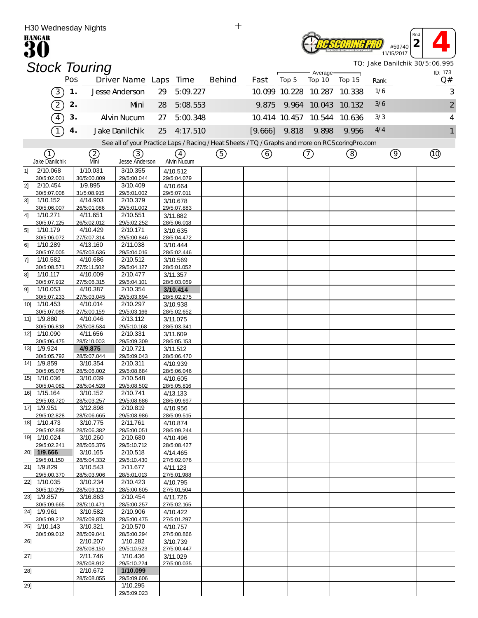| H30 Wednesday Nights           |                         |                                                                                                   |                               | $^{+}$ |         |               |                   |        |      |                                 |                                |
|--------------------------------|-------------------------|---------------------------------------------------------------------------------------------------|-------------------------------|--------|---------|---------------|-------------------|--------|------|---------------------------------|--------------------------------|
| <b>HANGAR</b><br>30            |                         |                                                                                                   |                               |        |         |               |                   |        |      | Rnd<br>$\overline{2}$<br>#59740 |                                |
|                                |                         |                                                                                                   |                               |        |         |               |                   |        |      | 11/15/2017                      | TQ: Jake Danilchik 30/5:06.995 |
| <b>Stock Touring</b>           |                         |                                                                                                   |                               |        |         |               | Average-          |        |      |                                 | ID: 173                        |
| Pos                            |                         | Driver Name Laps                                                                                  | Time                          | Behind | Fast    | Top 5         | Top 10            | Top 15 | Rank |                                 | Q#                             |
| $\left[3\right]$               | 1.                      | Jesse Anderson                                                                                    | 5:09.227<br>29                |        |         | 10.099 10.228 | 10.287            | 10.338 | 1/6  |                                 | 3                              |
| $\widehat{2}$                  | 2.                      | Mni                                                                                               | 5:08.553<br>28                |        | 9.875   |               | 9.964 10.043      | 10.132 | 3/6  |                                 | $\overline{c}$                 |
| $\widehat{4}$                  | 3.                      | <b>Alvin Nucum</b>                                                                                | 27<br>5:00.348                |        |         | 10.414 10.457 | 10.544            | 10.636 | 3/3  |                                 | 4                              |
|                                | 4.                      | Jake Danilchik                                                                                    | 4:17.510<br>25                |        | [9.666] | 9.818         | 9.898             | 9.956  | 4/4  |                                 |                                |
|                                |                         | See all of your Practice Laps / Racing / Heat Sheets / TQ / Graphs and more on RCS coring Pro.com |                               |        |         |               |                   |        |      |                                 |                                |
| (1)<br>Jake Danilchik          | 2<br>Mni                | (3)<br>Jesse Anderson                                                                             | $\overline{4}$<br>Alvin Nucum | (5)    | (6)     |               | $\left(  \right)$ | (8)    |      | $\circled{9}$                   | <u>(10)</u>                    |
| 2/10.068<br>1<br>30/5:02.001   | 1/10.031<br>30/5:00.009 | 3/10.355<br>29/5:00.044                                                                           | 4/10.512<br>29/5:04.079       |        |         |               |                   |        |      |                                 |                                |
| 2/10.454<br>21                 | 1/9.895                 | 3/10.409                                                                                          | 4/10.664                      |        |         |               |                   |        |      |                                 |                                |
| 30/5:07.008<br>1/10.152<br>3]  | 31/5:08.915<br>4/14.903 | 29/5:01.002<br>2/10.379                                                                           | 29/5:07.011<br>3/10.678       |        |         |               |                   |        |      |                                 |                                |
| 30/5:06.007                    | 26/5:01.086             | 29/5:01.002                                                                                       | 29/5:07.883                   |        |         |               |                   |        |      |                                 |                                |
| 1/10.271<br>41<br>30/5:07.125  | 4/11.651<br>26/5:02.012 | 2/10.551<br>29/5:02.252                                                                           | 3/11.882<br>28/5:06.018       |        |         |               |                   |        |      |                                 |                                |
| 1/10.179<br>51                 | 4/10.429                | 2/10.171                                                                                          | 3/10.635                      |        |         |               |                   |        |      |                                 |                                |
| 30/5:06.072                    | 27/5:07.314             | 29/5:00.846                                                                                       | 28/5:04.472                   |        |         |               |                   |        |      |                                 |                                |
| 1/10.289<br>61<br>30/5:07.005  | 4/13.160<br>26/5:03.636 | 2/11.038<br>29/5:04.016                                                                           | 3/10.444<br>28/5:02.446       |        |         |               |                   |        |      |                                 |                                |
| 1/10.582<br>71                 | 4/10.686                | 2/10.512                                                                                          | 3/10.569                      |        |         |               |                   |        |      |                                 |                                |
| 30/5:08.571<br>1/10.117<br>81  | 27/5:11.502<br>4/10.009 | 29/5:04.127<br>2/10.477                                                                           | 28/5:01.052<br>3/11.357       |        |         |               |                   |        |      |                                 |                                |
| 30/5:07.912                    | 27/5:06.315             | 29/5:04.101                                                                                       | 28/5:03.059                   |        |         |               |                   |        |      |                                 |                                |
| 1/10.053<br>91                 | 4/10.387                | 2/10.354                                                                                          | 3/10.414                      |        |         |               |                   |        |      |                                 |                                |
| 30/5:07.233<br>1/10.453<br>10] | 27/5:03.045<br>4/10.014 | 29/5:03.694<br>2/10.297                                                                           | 28/5:02.275<br>3/10.938       |        |         |               |                   |        |      |                                 |                                |
| 30/5:07.086                    | 27/5:00.159             | 29/5:03.166                                                                                       | 28/5:02.652                   |        |         |               |                   |        |      |                                 |                                |
| 1/9.880<br>11]<br>30/5:06.818  | 4/10.046<br>28/5:08.534 | 2/13.112<br>29/5:10.168                                                                           | 3/11.075<br>28/5:03.341       |        |         |               |                   |        |      |                                 |                                |
| 12] 1/10.090                   | 4/11.656                | 2/10.331                                                                                          | 3/11.609                      |        |         |               |                   |        |      |                                 |                                |
| 30/5:06.475                    | 28/5:10.003<br>4/9.875  | 29/5:09.309                                                                                       | 28/5:05.153                   |        |         |               |                   |        |      |                                 |                                |
| 13] 1/9.924<br>30/5:05.792     | 28/5:07.044             | 2/10.721<br>29/5:09.043                                                                           | 3/11.512<br>28/5:06.470       |        |         |               |                   |        |      |                                 |                                |
| 1/9.859<br>14]                 | 3/10.354                | 2/10.311                                                                                          | 4/10.939                      |        |         |               |                   |        |      |                                 |                                |
| 30/5:05.078<br>15] 1/10.036    | 28/5:06.002<br>3/10.039 | 29/5:08.684<br>2/10.548                                                                           | 28/5:06.046<br>4/10.605       |        |         |               |                   |        |      |                                 |                                |
| 30/5:04.082                    | 28/5:04.528             | 29/5:08.502                                                                                       | 28/5:05.816                   |        |         |               |                   |        |      |                                 |                                |
| 16] 1/15.164<br>29/5:03.720    | 3/10.152<br>28/5:03.257 | 2/10.741<br>29/5:08.686                                                                           | 4/13.133<br>28/5:09.697       |        |         |               |                   |        |      |                                 |                                |
| 17] 1/9.951                    | 3/12.898                | 2/10.819                                                                                          | 4/10.956                      |        |         |               |                   |        |      |                                 |                                |
| 29/5:02.828                    | 28/5:06.665             | 29/5:08.986<br>2/11.761                                                                           | 28/5:09.515                   |        |         |               |                   |        |      |                                 |                                |
| 18] 1/10.473<br>29/5:02.888    | 3/10.775<br>28/5:06.382 | 28/5:00.051                                                                                       | 4/10.874<br>28/5:09.244       |        |         |               |                   |        |      |                                 |                                |
| 19] 1/10.024                   | 3/10.260                | 2/10.680                                                                                          | 4/10.496                      |        |         |               |                   |        |      |                                 |                                |
| 29/5:02.241<br>20] 1/9.666     | 28/5:05.376<br>3/10.165 | 29/5:10.712<br>2/10.518                                                                           | 28/5:08.427<br>4/14.465       |        |         |               |                   |        |      |                                 |                                |
| 29/5:01.150                    | 28/5:04.332             | 29/5:10.430                                                                                       | 27/5:02.076                   |        |         |               |                   |        |      |                                 |                                |
| 21] 1/9.829<br>29/5:00.370     | 3/10.543<br>28/5:03.906 | 2/11.677<br>28/5:01.013                                                                           | 4/11.123<br>27/5:01.988       |        |         |               |                   |        |      |                                 |                                |
| 22] 1/10.035                   | 3/10.234                | 2/10.423                                                                                          | 4/10.795                      |        |         |               |                   |        |      |                                 |                                |
| 30/5:10.295                    | 28/5:03.112             | 28/5:00.605                                                                                       | 27/5:01.504                   |        |         |               |                   |        |      |                                 |                                |
| 23] 1/9.857<br>30/5:09.665     | 3/16.863<br>28/5:10.471 | 2/10.454<br>28/5:00.257                                                                           | 4/11.726<br>27/5:02.165       |        |         |               |                   |        |      |                                 |                                |
| 24] 1/9.961                    | 3/10.582                | 2/10.906                                                                                          | 4/10.422                      |        |         |               |                   |        |      |                                 |                                |
| 30/5:09.212<br>25] 1/10.143    | 28/5:09.878<br>3/10.321 | 28/5:00.475<br>2/10.570                                                                           | 27/5:01.297<br>4/10.757       |        |         |               |                   |        |      |                                 |                                |
| 30/5:09.012                    | 28/5:09.041             | 28/5:00.294                                                                                       | 27/5:00.866                   |        |         |               |                   |        |      |                                 |                                |
| 26]                            | 2/10.207<br>28/5:08.150 | 1/10.282<br>29/5:10.523                                                                           | 3/10.739<br>27/5:00.447       |        |         |               |                   |        |      |                                 |                                |
| 27]                            | 2/11.746                | 1/10.436                                                                                          | 3/11.029                      |        |         |               |                   |        |      |                                 |                                |
|                                | 28/5:08.912<br>2/10.672 | 29/5:10.224<br>1/10.099                                                                           | 27/5:00.035                   |        |         |               |                   |        |      |                                 |                                |
| 28]                            | 28/5:08.055             | 29/5:09.606                                                                                       |                               |        |         |               |                   |        |      |                                 |                                |
| 29]                            |                         | 1/10.295                                                                                          |                               |        |         |               |                   |        |      |                                 |                                |
|                                |                         | 29/5:09.023                                                                                       |                               |        |         |               |                   |        |      |                                 |                                |

 $+$